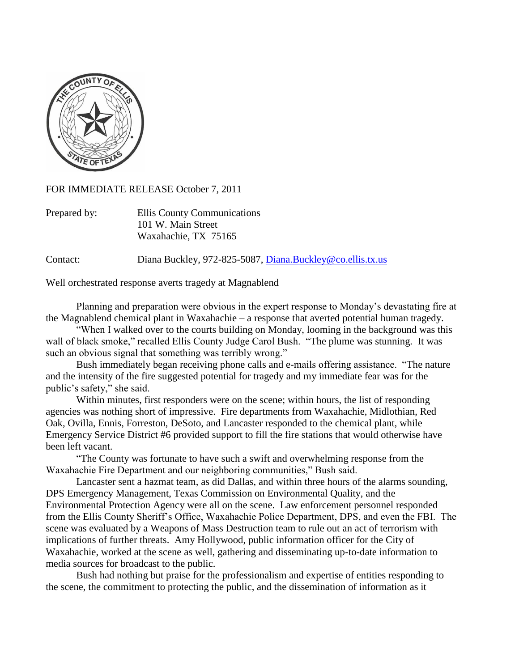

FOR IMMEDIATE RELEASE October 7, 2011

| Prepared by: | Ellis County Communications |
|--------------|-----------------------------|
|              | 101 W. Main Street          |
|              | Waxahachie, TX 75165        |

Contact: Diana Buckley, 972-825-5087, [Diana.Buckley@co.ellis.tx.us](mailto:Diana.Buckley@co.ellis.tx.us)

Well orchestrated response averts tragedy at Magnablend

Planning and preparation were obvious in the expert response to Monday's devastating fire at the Magnablend chemical plant in Waxahachie – a response that averted potential human tragedy.

"When I walked over to the courts building on Monday, looming in the background was this wall of black smoke," recalled Ellis County Judge Carol Bush. "The plume was stunning. It was such an obvious signal that something was terribly wrong."

Bush immediately began receiving phone calls and e-mails offering assistance. "The nature and the intensity of the fire suggested potential for tragedy and my immediate fear was for the public's safety," she said.

Within minutes, first responders were on the scene; within hours, the list of responding agencies was nothing short of impressive. Fire departments from Waxahachie, Midlothian, Red Oak, Ovilla, Ennis, Forreston, DeSoto, and Lancaster responded to the chemical plant, while Emergency Service District #6 provided support to fill the fire stations that would otherwise have been left vacant.

"The County was fortunate to have such a swift and overwhelming response from the Waxahachie Fire Department and our neighboring communities," Bush said.

Lancaster sent a hazmat team, as did Dallas, and within three hours of the alarms sounding, DPS Emergency Management, Texas Commission on Environmental Quality, and the Environmental Protection Agency were all on the scene. Law enforcement personnel responded from the Ellis County Sheriff's Office, Waxahachie Police Department, DPS, and even the FBI. The scene was evaluated by a Weapons of Mass Destruction team to rule out an act of terrorism with implications of further threats. Amy Hollywood, public information officer for the City of Waxahachie, worked at the scene as well, gathering and disseminating up-to-date information to media sources for broadcast to the public.

Bush had nothing but praise for the professionalism and expertise of entities responding to the scene, the commitment to protecting the public, and the dissemination of information as it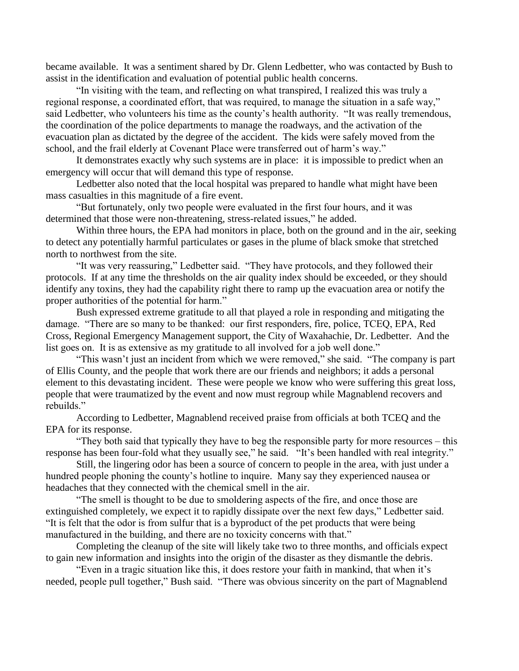became available. It was a sentiment shared by Dr. Glenn Ledbetter, who was contacted by Bush to assist in the identification and evaluation of potential public health concerns.

"In visiting with the team, and reflecting on what transpired, I realized this was truly a regional response, a coordinated effort, that was required, to manage the situation in a safe way," said Ledbetter, who volunteers his time as the county's health authority. "It was really tremendous, the coordination of the police departments to manage the roadways, and the activation of the evacuation plan as dictated by the degree of the accident. The kids were safely moved from the school, and the frail elderly at Covenant Place were transferred out of harm's way."

It demonstrates exactly why such systems are in place: it is impossible to predict when an emergency will occur that will demand this type of response.

Ledbetter also noted that the local hospital was prepared to handle what might have been mass casualties in this magnitude of a fire event.

"But fortunately, only two people were evaluated in the first four hours, and it was determined that those were non-threatening, stress-related issues," he added.

Within three hours, the EPA had monitors in place, both on the ground and in the air, seeking to detect any potentially harmful particulates or gases in the plume of black smoke that stretched north to northwest from the site.

"It was very reassuring," Ledbetter said. "They have protocols, and they followed their protocols. If at any time the thresholds on the air quality index should be exceeded, or they should identify any toxins, they had the capability right there to ramp up the evacuation area or notify the proper authorities of the potential for harm."

Bush expressed extreme gratitude to all that played a role in responding and mitigating the damage. "There are so many to be thanked: our first responders, fire, police, TCEQ, EPA, Red Cross, Regional Emergency Management support, the City of Waxahachie, Dr. Ledbetter. And the list goes on. It is as extensive as my gratitude to all involved for a job well done."

"This wasn't just an incident from which we were removed," she said. "The company is part of Ellis County, and the people that work there are our friends and neighbors; it adds a personal element to this devastating incident. These were people we know who were suffering this great loss, people that were traumatized by the event and now must regroup while Magnablend recovers and rebuilds."

According to Ledbetter, Magnablend received praise from officials at both TCEQ and the EPA for its response.

"They both said that typically they have to beg the responsible party for more resources – this response has been four-fold what they usually see," he said. "It's been handled with real integrity."

Still, the lingering odor has been a source of concern to people in the area, with just under a hundred people phoning the county's hotline to inquire. Many say they experienced nausea or headaches that they connected with the chemical smell in the air.

"The smell is thought to be due to smoldering aspects of the fire, and once those are extinguished completely, we expect it to rapidly dissipate over the next few days," Ledbetter said. "It is felt that the odor is from sulfur that is a byproduct of the pet products that were being manufactured in the building, and there are no toxicity concerns with that."

Completing the cleanup of the site will likely take two to three months, and officials expect to gain new information and insights into the origin of the disaster as they dismantle the debris.

"Even in a tragic situation like this, it does restore your faith in mankind, that when it's needed, people pull together," Bush said. "There was obvious sincerity on the part of Magnablend